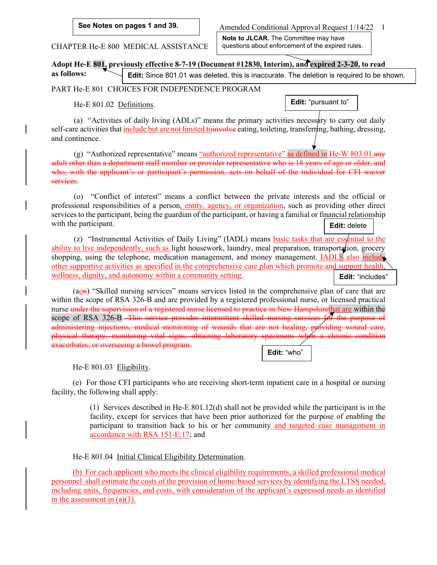**See Notes on pages 1 and 39.**

Amended Conditional Approval Request 1/14/22 1

**Note to JLCAR.** The Committee may have questions about enforcement of the expired rules.

CHAPTER He-E 800 MEDICAL ASSISTANCE

**Adopt He-E 801, previously effective 8-7-19 (Document #12830, Interim), and expired 2-3-20, to read** 

**as follows: Edit:** Since 801.01 was deleted, this is inaccurate. The deletion is required to be shown.

PART He-E 801 CHOICES FOR INDEPENDENCE PROGRAM

He-E 801.02 Definitions.

**Edit:** "pursuant to"

(a) "Activities of daily living (ADLs)" means the primary activities necessary to carry out daily self-care activities that include but are not limited to involve eating, toileting, transferring, bathing, dressing, and continence.

(g) "Authorized representative" means "authorized representative" as defined in He-W 803.01. $\frac{dN}{dx}$ adult other than a department staff member or provider representative who is 18 years of age or older, and who, with the applicant's or participant's permission, acts on behalf of the individual for CFI waiver services.

(o) "Conflict of interest" means a conflict between the private interests and the official or professional responsibilities of a person, entity, agency, or organization, such as providing other direct services to the participant, being the guardian of the participant, or having a familial or financial relationship with the participant. **Edit:** delete

(z) "Instrumental Activities of Daily Living" (IADL) means basic tasks that are essential to the ability to live independently, such as light housework, laundry, meal preparation, transportation, grocery shopping, using the telephone, medication management, and money management. IADLS also include other supportive activities as specified in the comprehensive care plan which promote and support health, wellness, dignity, and autonomy within a community setting. **Edit:** "includes"

(aon) "Skilled nursing services" means services listed in the comprehensive plan of care that are within the scope of RSA 326-B and are provided by a registered professional nurse, or licensed practical nurse under the supervision of a registered nurse licensed to practice in New Hampshirethat are within the scope of RSA 326-B. This service provides intermittent skilled nursing services for the purpose of administering injections, medical monitoring of wounds that are not healing, providing wound care, physical therapy, monitoring vital signs, obtaining laboratory specimens when a chronic condition exacerbates, or overseeing a bowel program. **Edit:** "who"

He-E 801.03 Eligibility.

(e) For those CFI participants who are receiving short-term inpatient care in a hospital or nursing facility, the following shall apply:

> (1) Services described in He-E 801.12(d) shall not be provided while the participant is in the facility, except for services that have been prior authorized for the purpose of enabling the participant to transition back to his or her community and targeted case management in accordance with RSA 151-E:17; and

He-E 801.04 Initial Clinical Eligibility Determination.

(b) For each applicant who meets the clinical eligibility requirements, a skilled professional medical personnel shall estimate the costs of the provision of home-based services by identifying the LTSS needed, including units, frequencies, and costs, with consideration of the applicant's expressed needs as identified in the assessment in  $(a)(1)$ .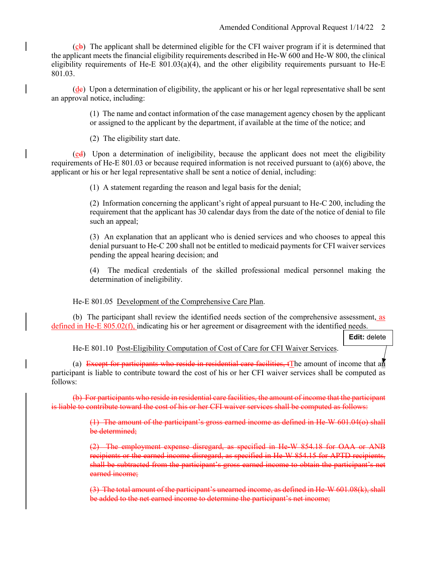$(c<sub>b</sub>)$  The applicant shall be determined eligible for the CFI waiver program if it is determined that the applicant meets the financial eligibility requirements described in He-W 600 and He-W 800, the clinical eligibility requirements of He-E  $801.03(a)(4)$ , and the other eligibility requirements pursuant to He-E 801.03.

 $(d_e)$  Upon a determination of eligibility, the applicant or his or her legal representative shall be sent an approval notice, including:

> (1) The name and contact information of the case management agency chosen by the applicant or assigned to the applicant by the department, if available at the time of the notice; and

(2) The eligibility start date.

(ed) Upon a determination of ineligibility, because the applicant does not meet the eligibility requirements of He-E 801.03 or because required information is not received pursuant to (a)(6) above, the applicant or his or her legal representative shall be sent a notice of denial, including:

(1) A statement regarding the reason and legal basis for the denial;

(2) Information concerning the applicant's right of appeal pursuant to He-C 200, including the requirement that the applicant has 30 calendar days from the date of the notice of denial to file such an appeal;

(3) An explanation that an applicant who is denied services and who chooses to appeal this denial pursuant to He-C 200 shall not be entitled to medicaid payments for CFI waiver services pending the appeal hearing decision; and

(4) The medical credentials of the skilled professional medical personnel making the determination of ineligibility.

He-E 801.05 Development of the Comprehensive Care Plan.

(b) The participant shall review the identified needs section of the comprehensive assessment, as defined in He-E 805.02(f), indicating his or her agreement or disagreement with the identified needs.

**Edit:** delete

He-E 801.10 Post-Eligibility Computation of Cost of Care for CFI Waiver Services.

(a) Except for participants who reside in residential care facilities,  $\mathbf{t}$  The amount of income that an participant is liable to contribute toward the cost of his or her CFI waiver services shall be computed as follows:

(b) For participants who reside in residential care facilities, the amount of income that the participant is liable to contribute toward the cost of his or her CFI waiver services shall be computed as follows:

> (1) The amount of the participant's gross earned income as defined in He-W 601.04(o) shall be determined;

> (2) The employment expense disregard, as specified in He-W 854.18 for OAA or ANB recipients or the earned income disregard, as specified in He-W 854.15 for APTD recipients, shall be subtracted from the participant's gross earned income to obtain the participant's net earned income;

> (3) The total amount of the participant's unearned income, as defined in He-W 601.08(k), shall be added to the net earned income to determine the participant's net income;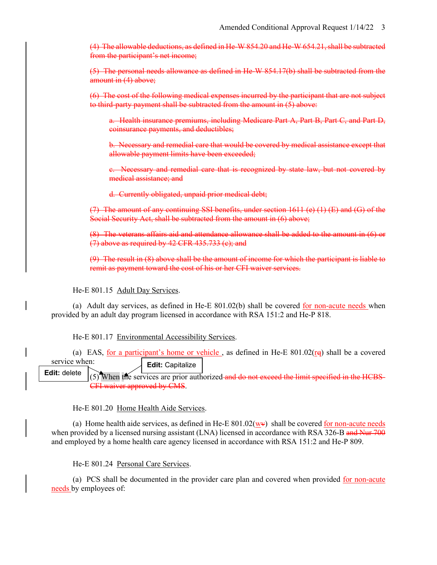(4) The allowable deductions, as defined in He-W 854.20 and He-W 654.21, shall be subtracted from the participant's net income;

(5) The personal needs allowance as defined in He-W 854.17(b) shall be subtracted from the amount in (4) above;

(6) The cost of the following medical expenses incurred by the participant that are not subject to third-party payment shall be subtracted from the amount in (5) above:

a. Health insurance premiums, including Medicare Part A, Part B, Part C, and Part D, coinsurance payments, and deductibles;

b. Necessary and remedial care that would be covered by medical assistance except that allowable payment limits have been exceeded;

c. Necessary and remedial care that is recognized by state law, but not covered by medical assistance; and

d. Currently obligated, unpaid prior medical debt;

(7) The amount of any continuing SSI benefits, under section  $1611$  (e)  $(1)$  (E) and (G) of the Social Security Act, shall be subtracted from the amount in (6) above;

(8) The veterans affairs aid and attendance allowance shall be added to the amount in (6) or (7) above as required by 42 CFR 435.733 (c); and

(9) The result in (8) above shall be the amount of income for which the participant is liable to remit as payment toward the cost of his or her CFI waiver services.

He-E 801.15 Adult Day Services.

(a) Adult day services, as defined in He-E  $801.02(b)$  shall be covered for non-acute needs when provided by an adult day program licensed in accordance with RSA 151:2 and He-P 818.

He-E 801.17 Environmental Accessibility Services.

(a) EAS, for a participant's home or vehicle, as defined in He-E  $801.02(\text{rg})$  shall be a covered service when: **Edit:** Capitalize

(5) When the services are prior authorized and do not exceed the limit specified in the HCBS-CFI waiver approved by CMS. **Edit:** delete

He-E 801.20 Home Health Aide Services.

(a) Home health aide services, as defined in He-E  $801.02(\underline{w}\nu)$  shall be covered <u>for non-acute needs</u> when provided by a licensed nursing assistant (LNA) licensed in accordance with RSA 326-B and Nur 700 and employed by a home health care agency licensed in accordance with RSA 151:2 and He-P 809.

He-E 801.24 Personal Care Services.

(a) PCS shall be documented in the provider care plan and covered when provided for non-acute needs by employees of: